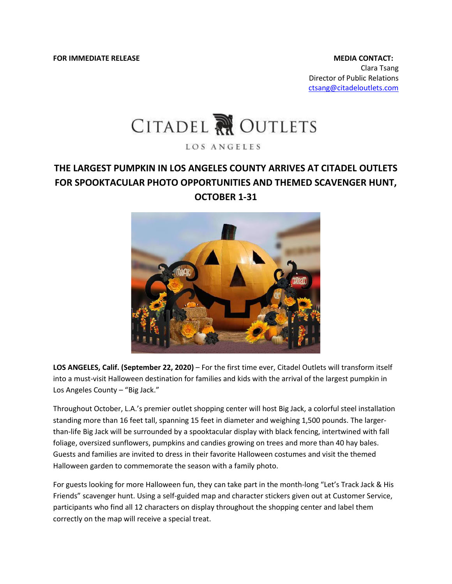**FOR IMMEDIATE RELEASE MEDIA CONTACT:** 

Clara Tsang Director of Public Relations [ctsang@citadeloutlets.com](mailto:ctsang@citadeloutlets.com)

## CITADEL RU OUTLETS

LOS ANGELES

## **THE LARGEST PUMPKIN IN LOS ANGELES COUNTY ARRIVES AT CITADEL OUTLETS FOR SPOOKTACULAR PHOTO OPPORTUNITIES AND THEMED SCAVENGER HUNT, OCTOBER 1-31**



LOS ANGELES, Calif. (September 22, 2020) – For the first time ever, Citadel Outlets will transform itself into a must-visit Halloween destination for families and kids with the arrival of the largest pumpkin in Los Angeles County – "Big Jack."

Throughout October, L.A.'s premier outlet shopping center will host Big Jack, a colorful steel installation standing more than 16 feet tall, spanning 15 feet in diameter and weighing 1,500 pounds. The largerthan-life Big Jack will be surrounded by a spooktacular display with black fencing, intertwined with fall foliage, oversized sunflowers, pumpkins and candies growing on trees and more than 40 hay bales. Guests and families are invited to dress in their favorite Halloween costumes and visit the themed Halloween garden to commemorate the season with a family photo.

For guests looking for more Halloween fun, they can take part in the month-long "Let's Track Jack & His Friends" scavenger hunt. Using a self-guided map and character stickers given out at Customer Service, participants who find all 12 characters on display throughout the shopping center and label them correctly on the map will receive a special treat.